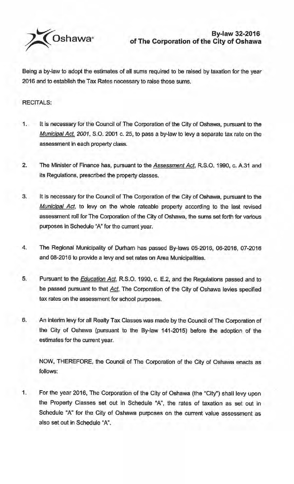

Being a by-law to adopt the estimates of all sums required to be raised by taxation for the year 2016 and to establish the Tax Rates necessary to raise those sums.

## RECITALS:

- It is necessary for the Council of The Corporation of the City of Oshawa, pursuant to the Municipal Act, 2001, S.O. 2001 c. 25, to pass a by-law to levy a separate tax rate on the assessment in each property class.
- 2. The Minister of Finance has, pursuant to the Assessment Act, R.S.O. 1990, c. A.31 and its Regulations, prescribed the property classes.
- 3. It is necessary for the Council of The Corporation of the City of Oshawa, pursuant to the Municipal Act, to levy on the whole rateable property according to the last revised assessment roll for The Corporation of the City of Oshawa, the sums set forth for various purposes in Schedule "A" for the current year.
- 4. The Regional Municipality of Durham has passed By-laws 05-2016, 06-2016, 07-2016 and 08-2016 to provide a levy and set rates on Area Municipalities.
- 5. Pursuant to the **Education Act**, R.S.O. 1990, c. E.2, and the Regulations passed and to be passed pursuant to that Act, The Corporation of the City of Oshawa levies specified tax rates on the assessment for school purposes.
- 6. An interim levy for all Realty Tax Classes was made by the Council of The Corporation of the City of Oshawa (pursuant to the By-law 141-2015) before the adoption of the estimates for the current year.

NOW, THEREFORE, the Council of The Corporation of the City of Oshawa enacts as follows:

1. For the year 2016, The Corporation of the City of Oshawa (the "City") shall levy upon the Property Classes set out in Schedule "A", the rates of taxation as set out in Schedule "A" for the City of Oshawa purposes on the current value assessment as also set out in Schedule "A".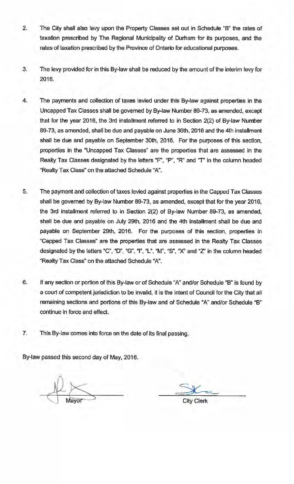- 2. The City shall also levy upon the Property Classes set out in Schedule "B" the rates of taxation prescribed by The Regional Municipality of Durham for its purposes, and the rates of taxation prescribed by the Province of Ontario for educational purposes.
- 3. The levy provided for in this By-law shall be reduced by the amount of the interim levy for 2016.
- 4. The payments and collection of taxes levied under this By-law against properties in the Uncapped Tax Classes shall be governed by By-law Number 89-73, as amended, except that for the year 2016, the 3rd installment referred to in Section 2(2) of By-law Number 89-73, as amended, shall be due and payable on June 30th, 2016 and the 4th installment shall be due and payable on September 30th, 2016. For the purposes of this section, properties in the "Uncapped Tax Classes" are the properties that are assessed in the Realty Tax Classes designated by the letters "P', "P", "R" and *"T'* in the column headed "Realty Tax Class" on the attached Schedule "A".
- 5. The payment and collection of taxes levied against properties in the Capped Tax Classes shall be governed by By-law Number 89-73, as amended, except that for the year 2016. the 3rd installment referred to in Section 2(2) of By-law Number 89-73, as amended. shall be due and payable on July 29th, 2016 and the 4th installment shall be due and payable on September 29th, 2016. For the purposes of this section, properties in "Capped Tax Classes" are the properties that are assessed in the Realty Tax Classes designated by the letters "C", "D", "G", "I", "L", "M", "S", "X" and "Z' in the column headed "Realty Tax Class" on the attached Schedule **"A''.**
- 6. If any section or portion of this By-law or of Schedule "A" and/or Schedule "B" is found by a court of competent jurisdiction to be invalid, it is the intent of Council for the City that all remaining sections and portions of this By-law and of Schedule "A" and/or Schedule "B" continue in force and effect.
- 7. This By-law comes into force on the date of its final passing.

By-law passed this second day of May, 2016.

City Clerk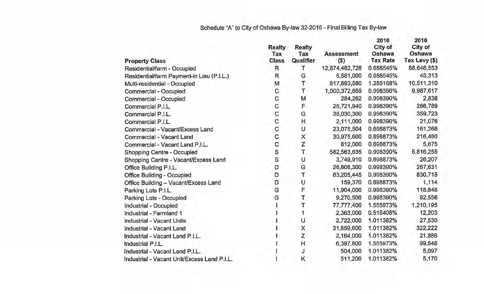## Schedule "A" to City of Oshawa By-law 32-2016 - Final Billing Tax By-law

| <b>Property Class</b>                       | <b>Realty</b><br>Tax<br><b>Class</b> | <b>Realty</b><br>Tax<br>Qualifier | <b>Assessment</b><br>$($ \$) | 2016<br>City of<br>Oshawa<br><b>Tax Rate</b> | 2016<br>City of<br>Oshawa<br>Tax Levy (\$) |
|---------------------------------------------|--------------------------------------|-----------------------------------|------------------------------|----------------------------------------------|--------------------------------------------|
| Residential/farm - Occupied                 | R                                    | т                                 | 12,874,482,728               | 0.688545%                                    | 88,646,553                                 |
| Residential/farm Payment-in Lieu (P.I.L.)   | R                                    | G                                 | 6,581,000                    | 0.688545%                                    | 45,313                                     |
| Multi-residential - Occupied                | M                                    |                                   | 817,893,580                  | 1.285168%                                    | 10,511,310                                 |
| Commercial - Occupied                       | C                                    | T                                 | 1,000,372,659                | 0.998390%                                    | 9,987,617                                  |
| Commercial - Occupied                       | C                                    | M                                 | 284,262                      | 0.998390%                                    | 2,838                                      |
| Commercial P.I.L.                           | C                                    | F                                 | 26,721,940                   | 0.998390%                                    | 266,789                                    |
| Commercial P.I.L.                           | C                                    | G                                 | 36,030,300                   | 0.998390%                                    | 359,723                                    |
| Commercial P.I.L.                           | C                                    | Н                                 | 2,111,000                    | 0.998390%                                    | 21,076                                     |
| Commercial - Vacant/Excess Land             | C                                    | U                                 | 23,075,504                   | 0.698873%                                    | 161,268                                    |
| Commercial - Vacant Land                    | C                                    | X                                 | 30,975,600                   | 0.698873%                                    | 216,480                                    |
| Commercial - Vacant Land P.I.L.             | С                                    | Z                                 | 812,000                      | 0.698873%                                    | 5,675                                      |
| Shopping Centre - Occupied                  |                                      | T                                 | 582,563,635                  | 0.998390%                                    | 5,816,255                                  |
| Shopping Centre - Vacant/Excess Land        | S<br>S                               | U                                 | 3,749,910                    | 0.698873%                                    | 26,207                                     |
| Office Building P.I.L.                      | D                                    | Ġ                                 | 26,806,300                   | 0.998390%                                    | 267,631                                    |
| <b>Office Building - Occupied</b>           | D                                    | $\overline{T}$                    | 83,205,445                   | 0.998390%                                    | 830,715                                    |
| Office Building - Vacant/Excess Land        | D                                    | U                                 | 159,370                      | 0.698873%                                    | 1,114                                      |
| Parking Lots P.I.L.                         | G                                    | F                                 | 11,904,000                   | 0.998390%                                    | 118,848                                    |
| Parking Lots - Occupied                     | G                                    | T                                 | 9,270,500                    | 0.998390%                                    | 92,556                                     |
| Industrial - Occupied                       |                                      | T                                 | 77,777,400                   | 1.555973%                                    | 1,210,195                                  |
| Industrial - Farmland 1                     |                                      | 1                                 | 2,363,000                    | 0.516408%                                    | 12,203                                     |
| <b>Industrial - Vacant Units</b>            |                                      | U                                 | 2,722,000                    | 1.011382%                                    | 27,530                                     |
| Industrial - Vacant Land                    |                                      | X                                 | 31,859,600                   | 1.011382%                                    | 322,222                                    |
| Industrial - Vacant Land P.I.L.             |                                      | Z                                 | 2,164,000                    | 1.011382%                                    | 21,886                                     |
| Industrial P.I.L.                           |                                      | H                                 | 6,397,800                    | 1.555973%                                    | 99,548                                     |
| Industrial - Vacant Land P.I.L.             |                                      | J                                 | 504,000                      | 1.011382%                                    | 5,097                                      |
| Industrial - Vacant Unit/Excess Land P.I.L. |                                      | Κ                                 | 511,200                      | 1.011382%                                    | 5,170                                      |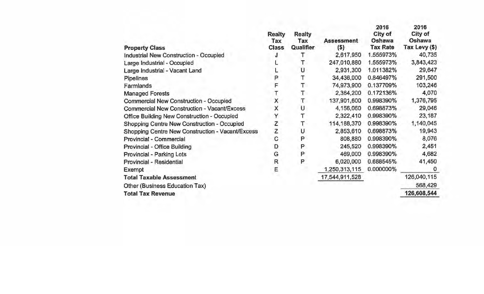| <b>Property Class</b>                            | <b>Realty</b><br>Tax<br><b>Class</b> | <b>Realty</b><br>Tax<br>Qualifier | <b>Assessment</b><br>(S) | 2016<br>City of<br>Oshawa<br><b>Tax Rate</b> | 2016<br>City of<br>Oshawa<br>Tax Levy (\$) |
|--------------------------------------------------|--------------------------------------|-----------------------------------|--------------------------|----------------------------------------------|--------------------------------------------|
| Industrial New Construction - Occupied           |                                      | т                                 | 2,617,950                | 1.555973%                                    | 40,735                                     |
| Large Industrial - Occupied                      |                                      |                                   | 247,010,880              | 1.555973%                                    | 3,843,423                                  |
| Large Industrial - Vacant Land                   |                                      | U                                 | 2,931,300                | 1.011382%                                    | 29,647                                     |
| Pipelines                                        | Ρ                                    | Т                                 | 34,436,000               | 0.846497%                                    | 291,500                                    |
| Farmlands                                        | F                                    | Т                                 | 74,973,900               | 0.137709%                                    | 103,246                                    |
| <b>Managed Forests</b>                           |                                      | T                                 | 2,364,200                | 0.172136%                                    | 4,070                                      |
| Commercial New Construction - Occupied           | X                                    | T                                 | 137,901,600              | 0.998390%                                    | 1,376,795                                  |
| Commercial New Construction - Vacant/Excess      | X                                    | U                                 | 4,156,060                | 0.698873%                                    | 29,046                                     |
| Office Building New Construction - Occupied      | Υ                                    |                                   | 2,322,410                | 0.998390%                                    | 23,187                                     |
| Shopping Centre New Construction - Occupied      | Z                                    | Т                                 | 114,188,370              | 0.998390%                                    | 1,140,045                                  |
| Shopping Centre New Construction - Vacant/Excess | Z                                    | U                                 | 2,853,610                | 0.698873%                                    | 19,943                                     |
| Provincial - Commercial                          | С                                    | P                                 | 808,880                  | 0.998390%                                    | 8,076                                      |
| Provincial - Office Building                     | D                                    | P                                 | 245,520                  | 0.998390%                                    | 2,451                                      |
| Provincial - Parking Lots                        | G                                    | P                                 | 469,000                  | 0.998390%                                    | 4,682                                      |
| Provincial - Residential                         | $\mathsf{R}$                         | P                                 | 6,020,000                | 0.688545%                                    | 41,450                                     |
| Exempt                                           | Ε                                    |                                   | 1,250,313,115            | 0.000000%                                    | $\Omega$                                   |
| <b>Total Taxable Assessment</b>                  |                                      |                                   | 17,544,911,528           |                                              | 126,040,115                                |
| Other (Business Education Tax)                   |                                      |                                   |                          |                                              | 568,429                                    |
| <b>Total Tax Revenue</b>                         |                                      |                                   |                          |                                              | 126,608,544                                |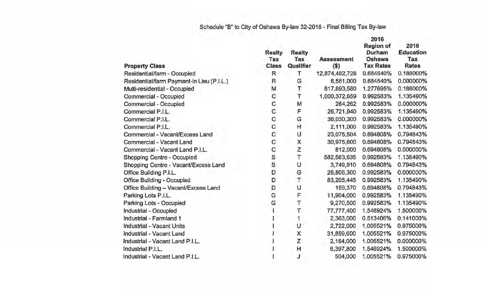## Schedule "B" to City of Oshawa By-law 32-2016 - Final Billing Tax By-law

|                                           | <b>Realty</b><br>Tax | <b>Realty</b><br>Tax | <b>Assessment</b> | 2016<br><b>Region of</b><br>Durham<br>Oshawa | 2016<br><b>Education</b><br>Tax |
|-------------------------------------------|----------------------|----------------------|-------------------|----------------------------------------------|---------------------------------|
| <b>Property Class</b>                     | <b>Class</b>         | Qualifier            | \$)               | <b>Tax Rates</b>                             | <b>Rates</b>                    |
| Residential/farm - Occupied               | R                    | τ                    | 12,874,482,728    | 0.684540%                                    | 0.188000%                       |
| Residential/farm Payment-in Lieu (P.I.L.) | R                    | G                    | 6,581,000         | 0.684540%                                    | 0.000000%                       |
| Multi-residential - Occupied              | M                    | T                    | 817,893,580       | 1.277695%                                    | 0.188000%                       |
| Commercial - Occupied                     | C                    | T                    | 1,000,372,659     | 0.992583%                                    | 1.135490%                       |
| Commercial - Occupied                     | C                    | M                    | 284,262           | 0.992583%                                    | 0.000000%                       |
| Commercial P.I.L.                         | $\ddot{c}$           | F                    | 26,721,940        | 0.992583%                                    | 1.135490%                       |
| Commercial P.I.L.                         | C                    | G                    | 36,030,300        | 0.992583%                                    | 0.000000%                       |
| Commercial P.I.L.                         | C                    | н                    | 2,111,000         | 0.992583%                                    | 1.135490%                       |
| Commercial - Vacant/Excess Land           | $\overline{C}$       | U                    | 23,075,504        | 0.694808%                                    | 0.794843%                       |
| Commercial - Vacant Land                  | $\mathbf C$          | Χ                    | 30,975,600        | 0.694808%                                    | 0.794843%                       |
| Commercial - Vacant Land P.I.L.           | C                    | Z                    | 812,000           | 0.694808%                                    | 0.000000%                       |
| Shopping Centre - Occupied                | S                    | $\overline{T}$       | 582,563,635       | 0.992583%                                    | 1.135490%                       |
| Shopping Centre - Vacant/Excess Land      | S                    | U                    | 3,749,910         | 0.694808%                                    | 0.794843%                       |
| Office Building P.I.L.                    | D                    | G                    | 26,806,300        | 0.992583%                                    | 0.000000%                       |
| <b>Office Building - Occupied</b>         | D                    | T                    | 83,205,445        | 0.992583%                                    | 1.135490%                       |
| Office Building - Vacant/Excess Land      | D                    | U                    | 159,370           | 0.694808%                                    | 0.794843%                       |
| Parking Lots P.I.L.                       | Ġ                    | F                    | 11,904,000        | 0.992583%                                    | 1.135490%                       |
| Parking Lots - Occupied                   | G                    | Т                    | 9,270,500         | 0.992583%                                    | 1.135490%                       |
| Industrial - Occupied                     |                      | т                    | 77,777,400        | 1.546924%                                    | 1.500000%                       |
| Industrial - Farmland 1                   |                      |                      | 2,363,000         | 0.513406%                                    | 0.141000%                       |
| <b>Industrial - Vacant Units</b>          |                      | U                    | 2,722,000         | 1.005521%                                    | 0.975000%                       |
| Industrial - Vacant Land                  |                      | X                    | 31,859,600        | 1.005521%                                    | 0.975000%                       |
| Industrial - Vacant Land P.I.L.           |                      | Z                    | 2,164,000         | 1.005521%                                    | 0.000000%                       |
| Industrial P.I.L.                         |                      | H                    | 6,397,800         | 1.546924%                                    | 1.500000%                       |
| Industrial - Vacant Land P.I.L.           |                      | J                    | 504,000           | 1.005521%                                    | 0.975000%                       |